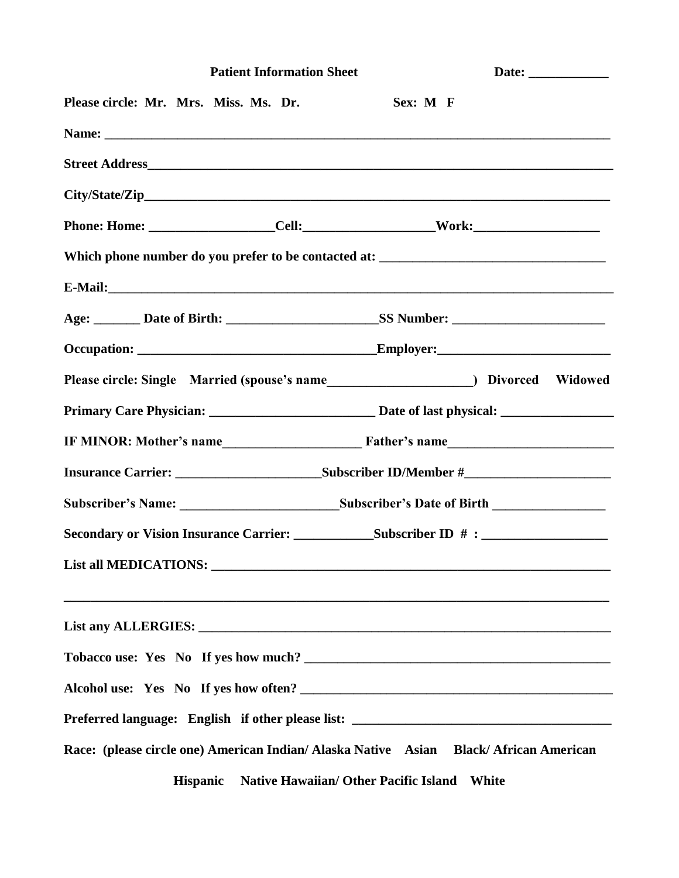|                                       | <b>Patient Information Sheet</b> |                                                                                                                                                                                                                     | Date: ____________ |  |  |  |
|---------------------------------------|----------------------------------|---------------------------------------------------------------------------------------------------------------------------------------------------------------------------------------------------------------------|--------------------|--|--|--|
| Please circle: Mr. Mrs. Miss. Ms. Dr. |                                  | Sex: M F                                                                                                                                                                                                            |                    |  |  |  |
|                                       |                                  |                                                                                                                                                                                                                     |                    |  |  |  |
|                                       |                                  |                                                                                                                                                                                                                     |                    |  |  |  |
|                                       |                                  |                                                                                                                                                                                                                     |                    |  |  |  |
|                                       |                                  |                                                                                                                                                                                                                     |                    |  |  |  |
|                                       |                                  | Which phone number do you prefer to be contacted at: ____________________________                                                                                                                                   |                    |  |  |  |
|                                       |                                  | E-Mail: <u>E-Mail:</u> E-Mail: <b>E-Mail:</b> E-Mail: <b>E-Mail:</b> E-Mail: <b>E-Mail: E-Mail: E-Mail: E-Mail: E-Mail: E-Mail: E-Mail: E-Mail: E-Mail: E-Mail: E-Mail: E-Mail: E-Mail: E-Mail: E-Mail: E-Mail:</b> |                    |  |  |  |
|                                       |                                  |                                                                                                                                                                                                                     |                    |  |  |  |
|                                       |                                  |                                                                                                                                                                                                                     |                    |  |  |  |
|                                       |                                  |                                                                                                                                                                                                                     |                    |  |  |  |
|                                       |                                  |                                                                                                                                                                                                                     |                    |  |  |  |
|                                       |                                  |                                                                                                                                                                                                                     |                    |  |  |  |
|                                       |                                  |                                                                                                                                                                                                                     |                    |  |  |  |
|                                       |                                  |                                                                                                                                                                                                                     |                    |  |  |  |
|                                       |                                  |                                                                                                                                                                                                                     |                    |  |  |  |
|                                       |                                  |                                                                                                                                                                                                                     |                    |  |  |  |
|                                       |                                  | ,我们也不能在这里的时候,我们也不能在这里的时候,我们也不能在这里的时候,我们也不能会在这里的时候,我们也不能会在这里的时候,我们也不能会在这里的时候,我们也不                                                                                                                                    |                    |  |  |  |
|                                       |                                  |                                                                                                                                                                                                                     |                    |  |  |  |
|                                       |                                  | Alcohol use: Yes No If yes how often?                                                                                                                                                                               |                    |  |  |  |
|                                       |                                  | Preferred language: English if other please list: _______________________________                                                                                                                                   |                    |  |  |  |
|                                       |                                  | Race: (please circle one) American Indian/ Alaska Native Asian Black/ African American                                                                                                                              |                    |  |  |  |
|                                       | <b>Hispanic</b>                  | <b>Native Hawaiian/ Other Pacific Island</b><br>White                                                                                                                                                               |                    |  |  |  |